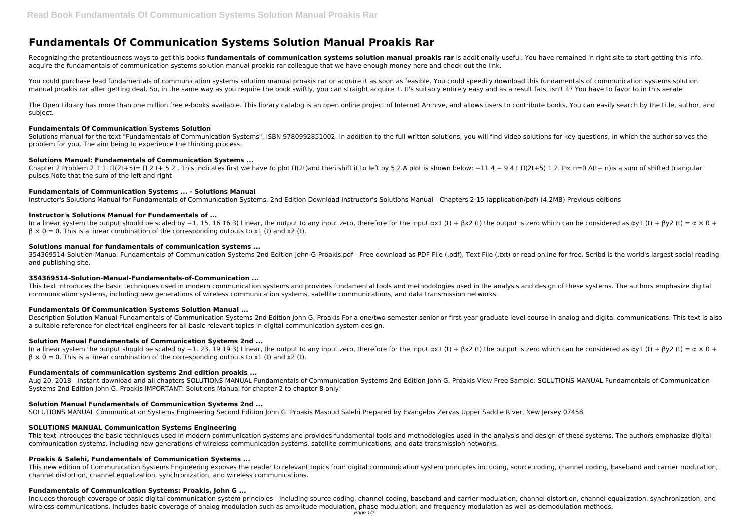# **Fundamentals Of Communication Systems Solution Manual Proakis Rar**

Recognizing the pretentiousness ways to get this books **fundamentals of communication systems solution manual proakis rar** is additionally useful. You have remained in right site to start getting this info. acquire the fundamentals of communication systems solution manual proakis rar colleague that we have enough money here and check out the link.

The Open Library has more than one million free e-books available. This library catalog is an open online project of Internet Archive, and allows users to contribute books. You can easily search by the title, author, and subject.

You could purchase lead fundamentals of communication systems solution manual proakis rar or acquire it as soon as feasible. You could speedily download this fundamentals of communication systems solution manual proakis rar after getting deal. So, in the same way as you require the book swiftly, you can straight acquire it. It's suitably entirely easy and as a result fats, isn't it? You have to favor to in this aerate

Chapter 2 Problem 2.1 1. Π(2t+5)= Π 2 t+ 5 2. This indicates first we have to plot Π(2t)and then shift it to left by 5 2.A plot is shown below: -11 4 - 9 4 t Π(2t+5) 1 2. P∞ n=0  $\Lambda$ (t- n)is a sum of shifted triangular pulses.Note that the sum of the left and right

#### **Fundamentals Of Communication Systems Solution**

Solutions manual for the text "Fundamentals of Communication Systems", ISBN 9780992851002. In addition to the full written solutions, you will find video solutions for key questions, in which the author solves the problem for you. The aim being to experience the thinking process.

## **Solutions Manual: Fundamentals of Communication Systems ...**

# **Fundamentals of Communication Systems ... - Solutions Manual**

Instructor's Solutions Manual for Fundamentals of Communication Systems, 2nd Edition Download Instructor's Solutions Manual - Chapters 2-15 (application/pdf) (4.2MB) Previous editions

# **Instructor's Solutions Manual for Fundamentals of ...**

In a linear system the output should be scaled by −1. 15. 16 16 3) Linear, the output to any input zero, therefore for the input  $\alpha x1$  (t) + βx2 (t) the output is zero which can be considered as  $\alpha y1$  (t) + βy2 (t) =  $\beta \times 0 = 0$ . This is a linear combination of the corresponding outputs to x1 (t) and x2 (t).

## **Solutions manual for fundamentals of communication systems ...**

354369514-Solution-Manual-Fundamentals-of-Communication-Systems-2nd-Edition-John-G-Proakis.pdf - Free download as PDF File (.pdf), Text File (.txt) or read online for free. Scribd is the world's largest social reading and publishing site.

Includes thorough coverage of basic digital communication system principles—including source coding, channel coding, baseband and carrier modulation, channel distortion, channel equalization, synchronization, and wireless communications. Includes basic coverage of analog modulation such as amplitude modulation, phase modulation, and frequency modulation as well as demodulation methods.

## **354369514-Solution-Manual-Fundamentals-of-Communication ...**

This text introduces the basic techniques used in modern communication systems and provides fundamental tools and methodologies used in the analysis and design of these systems. The authors emphasize digital communication systems, including new generations of wireless communication systems, satellite communications, and data transmission networks.

## **Fundamentals Of Communication Systems Solution Manual ...**

Description Solution Manual Fundamentals of Communication Systems 2nd Edition John G. Proakis For a one/two-semester senior or first-year graduate level course in analog and digital communications. This text is also a suitable reference for electrical engineers for all basic relevant topics in digital communication system design.

## **Solution Manual Fundamentals of Communication Systems 2nd ...**

In a linear system the output should be scaled by −1. 23. 19 19 3) Linear, the output to any input zero, therefore for the input  $\alpha x1$  (t) + βx2 (t) the output is zero which can be considered as  $\alpha y1$  (t) + βy2 (t) =  $\beta \times 0 = 0$ . This is a linear combination of the corresponding outputs to x1 (t) and x2 (t).

## **Fundamentals of communication systems 2nd edition proakis ...**

Aug 20, 2018 - Instant download and all chapters SOLUTIONS MANUAL Fundamentals of Communication Systems 2nd Edition John G. Proakis View Free Sample: SOLUTIONS MANUAL Fundamentals of Communication Systems 2nd Edition John G. Proakis IMPORTANT: Solutions Manual for chapter 2 to chapter 8 only!

# **Solution Manual Fundamentals of Communication Systems 2nd ...**

SOLUTIONS MANUAL Communication Systems Engineering Second Edition John G. Proakis Masoud Salehi Prepared by Evangelos Zervas Upper Saddle River, New Jersey 07458

## **SOLUTIONS MANUAL Communication Systems Engineering**

This text introduces the basic techniques used in modern communication systems and provides fundamental tools and methodologies used in the analysis and design of these systems. The authors emphasize digital communication systems, including new generations of wireless communication systems, satellite communications, and data transmission networks.

# **Proakis & Salehi, Fundamentals of Communication Systems ...**

This new edition of Communication Systems Engineering exposes the reader to relevant topics from digital communication system principles including, source coding, channel coding, baseband and carrier modulation, channel distortion, channel equalization, synchronization, and wireless communications.

## **Fundamentals of Communication Systems: Proakis, John G ...**